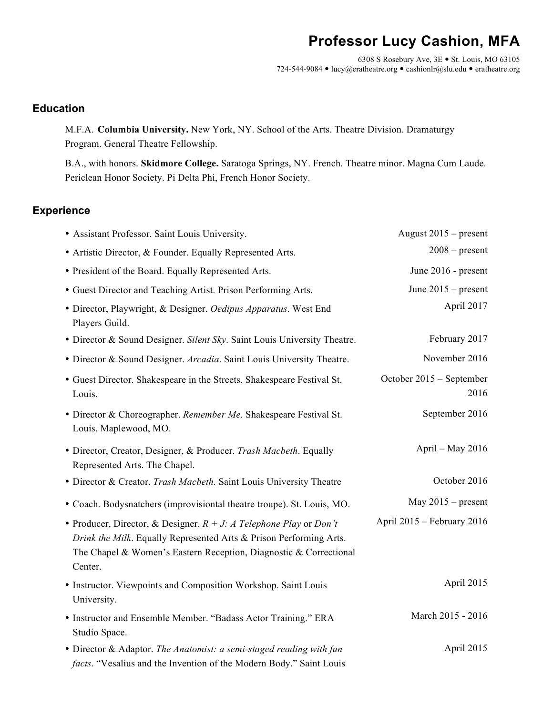# **Professor Lucy Cashion, MFA**

6308 S Rosebury Ave,  $3E \cdot St.$  Louis, MO 63105 724-544-9084 · lucy@eratheatre.org · cashionlr@slu.edu · eratheatre.org

### **Education**

M.F.A. **Columbia University.** New York, NY. School of the Arts. Theatre Division. Dramaturgy Program. General Theatre Fellowship.

B.A., with honors. **Skidmore College.** Saratoga Springs, NY. French. Theatre minor. Magna Cum Laude. Periclean Honor Society. Pi Delta Phi, French Honor Society.

### **Experience**

| • Assistant Professor. Saint Louis University.                                                                                                                                                                              | August $2015$ – present          |
|-----------------------------------------------------------------------------------------------------------------------------------------------------------------------------------------------------------------------------|----------------------------------|
| • Artistic Director, & Founder. Equally Represented Arts.                                                                                                                                                                   | $2008$ – present                 |
| • President of the Board. Equally Represented Arts.                                                                                                                                                                         | June 2016 - present              |
| • Guest Director and Teaching Artist. Prison Performing Arts.                                                                                                                                                               | June $2015$ – present            |
| · Director, Playwright, & Designer. Oedipus Apparatus. West End<br>Players Guild.                                                                                                                                           | April 2017                       |
| • Director & Sound Designer. Silent Sky. Saint Louis University Theatre.                                                                                                                                                    | February 2017                    |
| • Director & Sound Designer. Arcadia. Saint Louis University Theatre.                                                                                                                                                       | November 2016                    |
| • Guest Director. Shakespeare in the Streets. Shakespeare Festival St.<br>Louis.                                                                                                                                            | October 2015 - September<br>2016 |
| • Director & Choreographer. Remember Me. Shakespeare Festival St.<br>Louis. Maplewood, MO.                                                                                                                                  | September 2016                   |
| · Director, Creator, Designer, & Producer. Trash Macbeth. Equally<br>Represented Arts. The Chapel.                                                                                                                          | April - May 2016                 |
| • Director & Creator. Trash Macbeth. Saint Louis University Theatre                                                                                                                                                         | October 2016                     |
| • Coach. Bodysnatchers (improvisiontal theatre troupe). St. Louis, MO.                                                                                                                                                      | May $2015$ – present             |
| • Producer, Director, & Designer. $R + J$ : A Telephone Play or Don't<br>Drink the Milk. Equally Represented Arts & Prison Performing Arts.<br>The Chapel & Women's Eastern Reception, Diagnostic & Correctional<br>Center. | April 2015 - February 2016       |
| • Instructor. Viewpoints and Composition Workshop. Saint Louis<br>University.                                                                                                                                               | April 2015                       |
| • Instructor and Ensemble Member. "Badass Actor Training." ERA<br>Studio Space.                                                                                                                                             | March 2015 - 2016                |
| • Director & Adaptor. The Anatomist: a semi-staged reading with fun<br>facts. "Vesalius and the Invention of the Modern Body." Saint Louis                                                                                  | April 2015                       |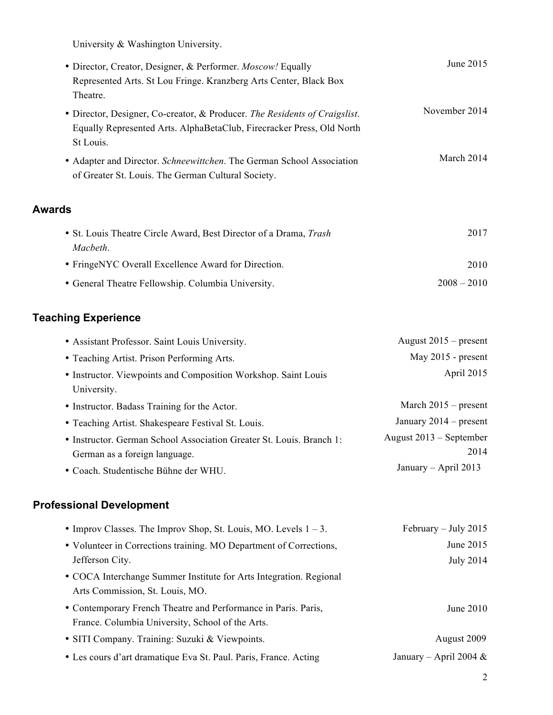University & Washington University.

| · Director, Creator, Designer, & Performer. Moscow! Equally                                                                                                      | June 2015     |
|------------------------------------------------------------------------------------------------------------------------------------------------------------------|---------------|
| Represented Arts. St Lou Fringe. Kranzberg Arts Center, Black Box                                                                                                |               |
| Theatre.                                                                                                                                                         | November 2014 |
| • Director, Designer, Co-creator, & Producer. The Residents of Craigslist.<br>Equally Represented Arts. AlphaBetaClub, Firecracker Press, Old North<br>St Louis. |               |
| • Adapter and Director. Schneewittchen. The German School Association<br>of Greater St. Louis. The German Cultural Society.                                      | March 2014    |
| <b>Awards</b>                                                                                                                                                    |               |
| • St. Louis Theatre Circle Award, Best Director of a Drama, Trash<br>Macbeth.                                                                                    | 2017          |
| • FringeNYC Overall Excellence Award for Direction.                                                                                                              | 2010          |
| • General Theatre Fellowship. Columbia University.                                                                                                               | $2008 - 2010$ |
|                                                                                                                                                                  |               |

## **Teaching Experience**

| • Assistant Professor. Saint Louis University.                       | August $2015$ – present   |
|----------------------------------------------------------------------|---------------------------|
| • Teaching Artist. Prison Performing Arts.                           | May 2015 - present        |
| • Instructor. Viewpoints and Composition Workshop. Saint Louis       | April 2015                |
| University.                                                          |                           |
| • Instructor. Badass Training for the Actor.                         | March $2015$ – present    |
| • Teaching Artist. Shakespeare Festival St. Louis.                   | January $2014$ – present  |
| • Instructor. German School Association Greater St. Louis. Branch 1: | August $2013$ – September |
| German as a foreign language.                                        | 2014                      |
| • Coach. Studentische Bühne der WHU.                                 | January $-$ April 2013    |

## **Professional Development**

| • Improv Classes. The Improv Shop, St. Louis, MO. Levels $1 - 3$ . | February $-$ July 2015    |
|--------------------------------------------------------------------|---------------------------|
| • Volunteer in Corrections training. MO Department of Corrections, | June 2015                 |
| Jefferson City.                                                    | July 2014                 |
| • COCA Interchange Summer Institute for Arts Integration. Regional |                           |
| Arts Commission, St. Louis, MO.                                    |                           |
| • Contemporary French Theatre and Performance in Paris. Paris,     | June $2010$               |
| France. Columbia University, School of the Arts.                   |                           |
| • SITI Company. Training: Suzuki & Viewpoints.                     | August 2009               |
| • Les cours d'art dramatique Eva St. Paul. Paris, France. Acting   | January – April 2004 $\&$ |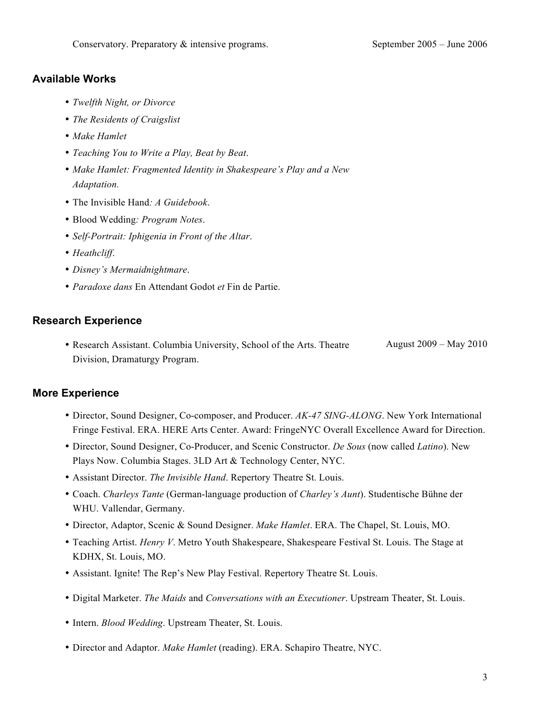#### **Available Works**

- *Twelfth Night, or Divorce*
- *The Residents of Craigslist*
- *Make Hamlet*
- *Teaching You to Write a Play, Beat by Beat*.
- *Make Hamlet: Fragmented Identity in Shakespeare's Play and a New Adaptation.*
- The Invisible Hand*: A Guidebook*.
- Blood Wedding*: Program Notes*.
- *Self-Portrait: Iphigenia in Front of the Altar*.
- *Heathcliff*.
- *Disney's Mermaidnightmare*.
- *Paradoxe dans* En Attendant Godot *et* Fin de Partie.

### **Research Experience**

• Research Assistant. Columbia University, School of the Arts. Theatre Division, Dramaturgy Program. August 2009 – May 2010

#### **More Experience**

- Director, Sound Designer, Co-composer, and Producer. *AK-47 SING-ALONG*. New York International Fringe Festival. ERA. HERE Arts Center. Award: FringeNYC Overall Excellence Award for Direction.
- Director, Sound Designer, Co-Producer, and Scenic Constructor. *De Sous* (now called *Latino*). New Plays Now. Columbia Stages. 3LD Art & Technology Center, NYC.
- Assistant Director. *The Invisible Hand*. Repertory Theatre St. Louis.
- Coach. *Charleys Tante* (German-language production of *Charley's Aunt*). Studentische Bühne der WHU. Vallendar, Germany.
- Director, Adaptor, Scenic & Sound Designer. *Make Hamlet*. ERA. The Chapel, St. Louis, MO.
- Teaching Artist. *Henry V*. Metro Youth Shakespeare, Shakespeare Festival St. Louis. The Stage at KDHX, St. Louis, MO.
- Assistant. Ignite! The Rep's New Play Festival. Repertory Theatre St. Louis.
- Digital Marketer. *The Maids* and *Conversations with an Executioner*. Upstream Theater, St. Louis.
- Intern. *Blood Wedding*. Upstream Theater, St. Louis.
- Director and Adaptor. *Make Hamlet* (reading). ERA. Schapiro Theatre, NYC.